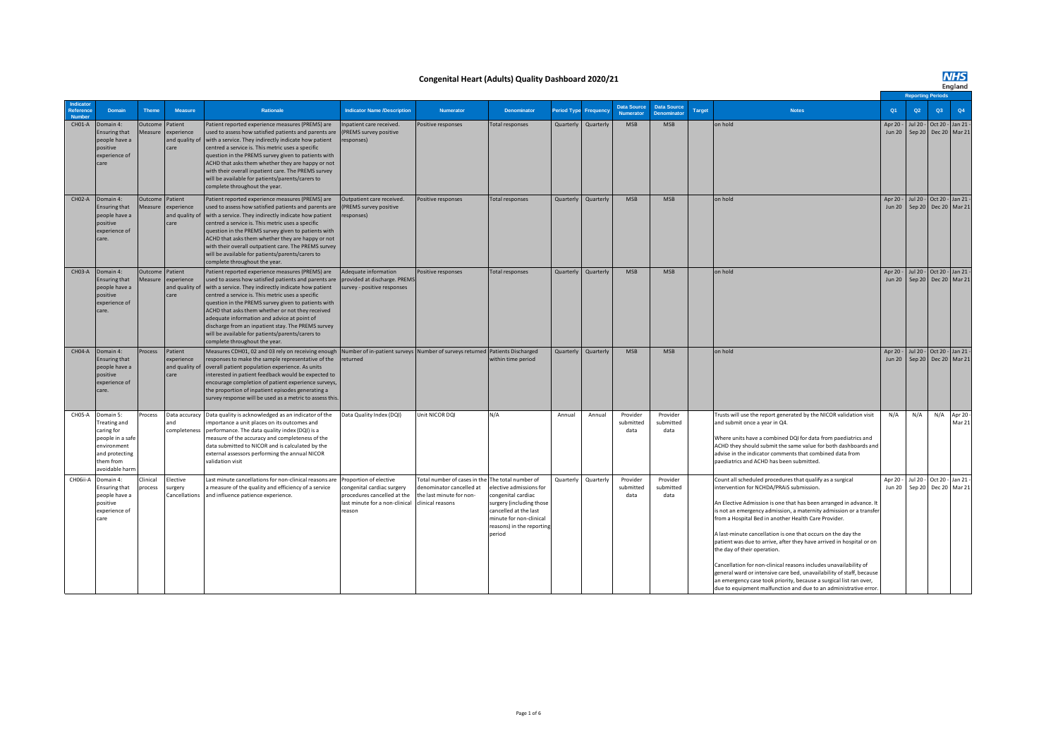#### **Congenital Heart (Adults) Quality Dashboard 2020/21**

# **NHS**<br>England

|                                 |                                                                                                                             |                                  |                                                 |                                                                                                                                                                                                                                                                                                                                                                                                                                                                                                                             |                                                                                                                                 |                                                                                                          |                                                                                                                                                                                            |                    |           |                                        |                                         |               |                                                                                                                                                                                                                                                                                                                                                                                                                                                                                                                                                                                                                                                                                                                                                                       |                           |                    | <b>Reporting Periods</b> |                                                    |
|---------------------------------|-----------------------------------------------------------------------------------------------------------------------------|----------------------------------|-------------------------------------------------|-----------------------------------------------------------------------------------------------------------------------------------------------------------------------------------------------------------------------------------------------------------------------------------------------------------------------------------------------------------------------------------------------------------------------------------------------------------------------------------------------------------------------------|---------------------------------------------------------------------------------------------------------------------------------|----------------------------------------------------------------------------------------------------------|--------------------------------------------------------------------------------------------------------------------------------------------------------------------------------------------|--------------------|-----------|----------------------------------------|-----------------------------------------|---------------|-----------------------------------------------------------------------------------------------------------------------------------------------------------------------------------------------------------------------------------------------------------------------------------------------------------------------------------------------------------------------------------------------------------------------------------------------------------------------------------------------------------------------------------------------------------------------------------------------------------------------------------------------------------------------------------------------------------------------------------------------------------------------|---------------------------|--------------------|--------------------------|----------------------------------------------------|
| Indicato<br>Reference<br>Number | Domain                                                                                                                      | <b>Theme</b>                     | Measure                                         | Rationale                                                                                                                                                                                                                                                                                                                                                                                                                                                                                                                   | <b>Indicator Name /Description</b>                                                                                              | <b>Numerator</b>                                                                                         | <b>Denominator</b>                                                                                                                                                                         | <b>Period Type</b> | Frequency | <b>Data Source</b><br><b>Numerator</b> | <b>Data Source</b><br><b>Denominato</b> | <b>Target</b> | <b>Notes</b>                                                                                                                                                                                                                                                                                                                                                                                                                                                                                                                                                                                                                                                                                                                                                          | Q <sub>1</sub>            | Q2                 | Q3                       | Q4                                                 |
| CH01-A                          | Domain 4:<br><b>Ensuring that</b><br>people have a<br>positive<br>experience of<br>care                                     | <b>Outcome</b><br><b>Aeasure</b> | Patient<br>xperience<br>and quality of<br>care  | Patient reported experience measures (PREMS) are<br>used to assess how satisfied patients and parents are<br>with a service. They indirectly indicate how patient<br>centred a service is. This metric uses a specific<br>question in the PREMS survey given to patients with<br>ACHD that asks them whether they are happy or not<br>with their overall inpatient care. The PREMS survey<br>will be available for patients/parents/carers to<br>complete throughout the year.                                              | Inpatient care received.<br>(PREMS survey positive<br>responses)                                                                | Positive responses                                                                                       | Total responses                                                                                                                                                                            | Quarterly          | Quarterly | <b>MSB</b>                             | <b>MSB</b>                              |               | on hold                                                                                                                                                                                                                                                                                                                                                                                                                                                                                                                                                                                                                                                                                                                                                               | Apr 20<br><b>Jun 20</b>   | Jul 20 -           | Sep 20 Dec 20 Mar 21     | Oct 20 - Jan 21 -                                  |
| CH02-A                          | Domain 4:<br>Ensuring that<br>people have a<br>positive<br>experience of<br>care.                                           | Outcome<br><b>Aeasure</b>        | Patient<br>experience<br>and quality of<br>care | Patient reported experience measures (PREMS) are<br>used to assess how satisfied patients and parents are<br>with a service. They indirectly indicate how patient<br>centred a service is. This metric uses a specific<br>question in the PREMS survey given to patients with<br>ACHD that asks them whether they are happy or not<br>with their overall outpatient care. The PREMS survey<br>will be available for patients/parents/carers to<br>complete throughout the year.                                             | Outpatient care received.<br>(PREMS survey positive<br>responses)                                                               | Positive responses                                                                                       | <b>Total responses</b>                                                                                                                                                                     | Quarterly          | Quarterly | <b>MSB</b>                             | <b>MSB</b>                              |               | on hold                                                                                                                                                                                                                                                                                                                                                                                                                                                                                                                                                                                                                                                                                                                                                               | Apr 20<br><b>Jun 20</b>   | Jul 20 -           | Sep 20 Dec 20 Mar 21     | Oct 20 - Jan 21 -                                  |
| CH03-A                          | Domain 4:<br>Ensuring that<br>people have a<br>positive<br>experience of<br>care.                                           | Outcome<br><b>Aeasure</b>        | Patient<br>experience<br>and quality of<br>care | Patient reported experience measures (PREMS) are<br>used to assess how satisfied patients and parents are<br>with a service. They indirectly indicate how patient<br>centred a service is. This metric uses a specific<br>question in the PREMS survey given to patients with<br>ACHD that asks them whether or not they received<br>adequate information and advice at point of<br>discharge from an inpatient stay. The PREMS survey<br>will be available for patients/parents/carers to<br>complete throughout the year. | Adequate information<br>provided at discharge. PREMS<br>survey - positive responses                                             | Positive responses                                                                                       | <b>Total responses</b>                                                                                                                                                                     | Quarterly          | Quarterly | <b>MSB</b>                             | <b>MSB</b>                              |               | on hold                                                                                                                                                                                                                                                                                                                                                                                                                                                                                                                                                                                                                                                                                                                                                               | Apr 20 -<br><b>Jun 20</b> |                    |                          | Jul 20 - Oct 20 - Jan 21 -<br>Sep 20 Dec 20 Mar 21 |
| <b>CH04-A</b>                   | Domain 4:<br>Ensuring that<br>people have a<br>positive<br>experience of<br>care.                                           | rocess                           | Patient<br>experience<br>and quality of<br>care | Measures CDH01, 02 and 03 rely on receiving enough Number of in-patient surveys Number of surveys returned Patients Discharged<br>responses to make the sample representative of the<br>overall patient population experience. As units<br>nterested in patient feedback would be expected to<br>encourage completion of patient experience surveys,<br>the proportion of inpatient episodes generating a<br>survey response will be used as a metric to assess this.                                                       | returned                                                                                                                        |                                                                                                          | within time period                                                                                                                                                                         | Quarterly          | Quarterly | <b>MSB</b>                             | <b>MSB</b>                              |               | on hold                                                                                                                                                                                                                                                                                                                                                                                                                                                                                                                                                                                                                                                                                                                                                               | Apr 20<br><b>Jun 20</b>   | Jul 20 -           |                          | Oct 20 - Jan 21 -<br>Sep 20 Dec 20 Mar 21          |
| CH05-A                          | Domain 5:<br>Treating and<br>caring for<br>people in a safe<br>environment<br>and protecting<br>them from<br>avoidable harn | rocess                           | Data accuracy<br>and<br>completeness            | Data quality is acknowledged as an indicator of the<br>mportance a unit places on its outcomes and<br>performance. The data quality index (DQI) is a<br>measure of the accuracy and completeness of the<br>data submitted to NICOR and is calculated by the<br>external assessors performing the annual NICOR<br>validation visit                                                                                                                                                                                           | Data Quality Index (DQI)                                                                                                        | Unit NICOR DQI                                                                                           | N/A                                                                                                                                                                                        | Annual             | Annual    | Provider<br>submitted<br>data          | Provider<br>submitted<br>data           |               | Trusts will use the report generated by the NICOR validation visit<br>and submit once a year in Q4.<br>Where units have a combined DQI for data from paediatrics and<br>ACHD they should submit the same value for both dashboards and<br>advise in the indicator comments that combined data from<br>paediatrics and ACHD has been submitted.                                                                                                                                                                                                                                                                                                                                                                                                                        | N/A                       | N/A                |                          | N/A Apr 20 -<br>Mar 21                             |
| CHO6ii-A                        | Domain 4:<br>Ensuring that<br>people have a<br>positive<br>experience of<br>care                                            | Clinical<br>rocess               | lective<br>urgery<br>Cancellations              | Last minute cancellations for non-clinical reasons are<br>a measure of the quality and efficiency of a service<br>and influence patience experience.                                                                                                                                                                                                                                                                                                                                                                        | Proportion of elective<br>congenital cardiac surgery<br>procedures cancelled at the<br>last minute for a non-clinical<br>reason | Total number of cases in the<br>denominator cancelled at<br>the last minute for non-<br>clinical reasons | The total number of<br>lective admissions for<br>congenital cardiac<br>surgery (including those<br>cancelled at the last<br>minute for non-clinical<br>reasons) in the reporting<br>period | Quarterly          | Quarterly | Provider<br>submitted<br>data          | Provider<br>submitted<br>data           |               | Count all scheduled procedures that qualify as a surgical<br>intervention for NCHDA/PRAiS submission.<br>An Elective Admission is one that has been arranged in advance. It<br>is not an emergency admission, a maternity admission or a transfe<br>from a Hospital Bed in another Health Care Provider.<br>A last-minute cancellation is one that occurs on the day the<br>patient was due to arrive, after they have arrived in hospital or on<br>the day of their operation.<br>Cancellation for non-clinical reasons includes unavailability of<br>general ward or intensive care bed, unavailability of staff, because<br>an emergency case took priority, because a surgical list ran over,<br>due to equipment malfunction and due to an administrative error. | Apr 20 -<br>Jun 20        | Jul 20 -<br>Sep 20 |                          | Oct 20 - Jan 21 -<br>Dec 20 Mar 21                 |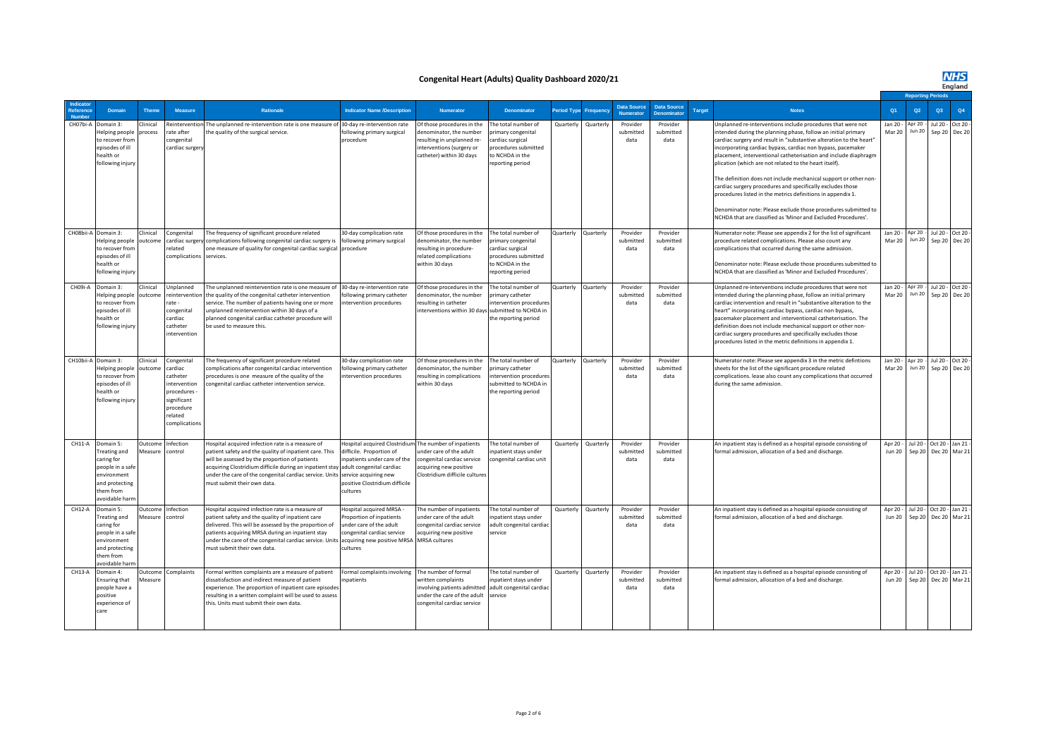**NHS**<br>England

#### **Congenital Heart (Adults) Quality Dashboard 2020/21**

|           |                                                                                                                             |                    |                                                                                                                        |                                                                                                                                                                                                                                                                                                                                                                   |                                                                                                                                         |                                                                                                                                              |                                                                                                                              |            |           |                               |                                   |               |                                                                                                                                                                                                                                                                                                                                                                                                                                                                                                                                                                                                                                                                                                                                    |                           | <b>Reporting Period:</b>    |                         |                             |
|-----------|-----------------------------------------------------------------------------------------------------------------------------|--------------------|------------------------------------------------------------------------------------------------------------------------|-------------------------------------------------------------------------------------------------------------------------------------------------------------------------------------------------------------------------------------------------------------------------------------------------------------------------------------------------------------------|-----------------------------------------------------------------------------------------------------------------------------------------|----------------------------------------------------------------------------------------------------------------------------------------------|------------------------------------------------------------------------------------------------------------------------------|------------|-----------|-------------------------------|-----------------------------------|---------------|------------------------------------------------------------------------------------------------------------------------------------------------------------------------------------------------------------------------------------------------------------------------------------------------------------------------------------------------------------------------------------------------------------------------------------------------------------------------------------------------------------------------------------------------------------------------------------------------------------------------------------------------------------------------------------------------------------------------------------|---------------------------|-----------------------------|-------------------------|-----------------------------|
|           | Domain                                                                                                                      | <b>Theme</b>       | Measure                                                                                                                | <b>Rationale</b>                                                                                                                                                                                                                                                                                                                                                  | <b>Indicator Name /Description</b>                                                                                                      | <b>Numerator</b>                                                                                                                             | <b>Denominator</b>                                                                                                           | eriod Type | Frequenc  | Data Source<br>Numerator      | <b>Data Source</b><br>Denominator | <b>Target</b> | <b>Notes</b>                                                                                                                                                                                                                                                                                                                                                                                                                                                                                                                                                                                                                                                                                                                       | Q <sub>1</sub>            | Q2                          | Q3                      | Q4                          |
| CH07bi-A  | Domain 3:<br>Helping people<br>to recover from<br>episodes of ill<br>health or<br>following injury                          | linical<br>rocess  | Reinterventio<br>rate after<br>congenital<br>cardiac surgen                                                            | The unplanned re-intervention rate is one measure of<br>the quality of the surgical service.                                                                                                                                                                                                                                                                      | 30-day re-intervention rate<br>following primary surgical<br>procedure                                                                  | Of those procedures in the<br>denominator, the number<br>resulting in unplanned re-<br>interventions (surgery or<br>catheter) within 30 days | The total number of<br>primary congenital<br>cardiac surgical<br>procedures submitted<br>to NCHDA in the<br>reporting period | Quarterly  | Quarterly | Provider<br>submitted<br>data | Provider<br>submitted<br>data     |               | Unplanned re-interventions include procedures that were not<br>ntended during the planning phase, follow an initial primary<br>cardiac surgery and result in "substantive alteration to the heart"<br>incorporating cardiac bypass, cardiac non bypass, pacemaker<br>placement, interventional catheterisation and include diaphragm<br>plication (which are not related to the heart itself).<br>The definition does not include mechanical support or other non-<br>cardiac surgery procedures and specifically excludes those<br>procedures listed in the metrics definitions in appendix 1.<br>Denominator note: Please exclude those procedures submitted to<br>NCHDA that are classified as 'Minor and Excluded Procedures'. | Jan 20 -<br>Mar 20        | Apr 20 -<br><b>Jun 20</b>   | Jul 20 -                | Oct 20 -<br>Sep 20 Dec 20   |
| CH08bii-A | Domain 3:<br>Helping people<br>to recover from<br>episodes of ill<br>health or<br>following injury                          | linical<br>utcom   | congenital<br>related<br>complications services.                                                                       | The frequency of significant procedure related<br>ardiac surgery complications following congenital cardiac surgery is<br>one measure of quality for congenital cardiac surgical procedure                                                                                                                                                                        | 30-day complication rate<br>following primary surgical                                                                                  | Of those procedures in the<br>denominator, the number<br>resulting in procedure-<br>related complications<br>within 30 days                  | The total number of<br>primary congenital<br>cardiac surgical<br>procedures submitted<br>to NCHDA in the<br>reporting period | Quarterly  | Quarterly | Provider<br>submitted<br>data | Provider<br>submitted<br>data     |               | Numerator note: Please see appendix 2 for the list of significant<br>procedure related complications. Please also count any<br>complications that occurred during the same admission.<br>Denominator note: Please exclude those procedures submitted to<br>NCHDA that are classified as 'Minor and Excluded Procedures'.                                                                                                                                                                                                                                                                                                                                                                                                           | Jan 20 -<br>Mar 20        | Apr $20 -$<br><b>Jun 20</b> | Jul 20 -                | Oct 20 $-$<br>Sep 20 Dec 20 |
| CH09i-A   | Domain 3:<br>Helping people<br>to recover from<br>episodes of ill<br>health or<br>following injury                          | linical<br>utcom   | <b>Unplanned</b><br>einterventior<br>rate -<br>congenital<br>cardiac<br>catheter<br>ntervention                        | The unplanned reintervention rate is one measure of<br>the quality of the congenital catheter intervention<br>service. The number of patients having one or more<br>unplanned reintervention within 30 days of a<br>planned congenital cardiac catheter procedure will<br>be used to measure this.                                                                | 30-day re-intervention rate<br>following primary catheter<br>intervention procedures                                                    | Of those procedures in the<br>denominator, the number<br>resulting in catheter<br>interventions within 30 days submitted to NCHDA in         | The total number of<br>primary catheter<br>intervention procedures<br>the reporting period                                   | Quarterly  | Quarterly | Provider<br>submitted<br>data | Provider<br>submitted<br>data     |               | Unplanned re-interventions include procedures that were not<br>ntended during the planning phase, follow an initial primary<br>cardiac intervention and result in "substantive alteration to the<br>heart" incorporating cardiac bypass, cardiac non bypass,<br>pacemaker placement and interventional catheterisation. The<br>definition does not include mechanical support or other non-<br>cardiac surgery procedures and specifically excludes those<br>procedures listed in the metric definitions in appendix 1.                                                                                                                                                                                                            | Jan 20 -<br>Mar 20        | Apr 20<br><b>Jun 20</b>     | Jul 20 -                | Oct 20 -<br>Sep 20 Dec 20   |
| CH10bii-A | Domain 3:<br>Helping people<br>to recover from<br>episodes of ill<br>health or<br>following injury                          | linical<br>utcome  | Congenital<br>cardiac<br>catheter<br>ntervention<br>procedures -<br>significant<br>procedure<br>elated<br>omplications | The frequency of significant procedure related<br>complications after congenital cardiac intervention<br>procedures is one measure of the quality of the<br>congenital cardiac catheter intervention service.                                                                                                                                                     | 30-day complication rate<br>following primary catheter<br>intervention procedures                                                       | Of those procedures in the<br>denominator, the number<br>resulting in complications<br>within 30 days                                        | The total number of<br>rimary catheter<br>ntervention procedures<br>submitted to NCHDA in<br>the reporting period            | Quarterly  | Quarterly | Provider<br>submitted<br>data | Provider<br>submitted<br>data     |               | Numerator note: Please see appendix 3 in the metric defintions<br>sheets for the list of the significant procedure related<br>complications. lease also count any complications that occurred<br>during the same admission.                                                                                                                                                                                                                                                                                                                                                                                                                                                                                                        | lan 20.<br>Mar 20         | Apr 20 -<br><b>Jun 20</b>   | Jul 20 -                | Oct 20 $-$<br>Sep 20 Dec 20 |
| CH11-A    | Domain 5:<br>Treating and<br>caring for<br>people in a safe<br>environment<br>and protecting<br>them from<br>avoidable harr | Outcome<br>Aeasure | Infection<br>ontrol                                                                                                    | Hospital acquired infection rate is a measure of<br>patient safety and the quality of inpatient care. This<br>will be assessed by the proportion of patients<br>acquiring Clostridium difficile during an inpatient stay adult congenital cardiac<br>under the care of the congenital cardiac service. Units service acquiring new<br>must submit their own data. | Hospital acquired Clostridium<br>difficile. Proportion of<br>inpatients under care of the<br>positive Clostridium difficile<br>cultures | The number of inpatients<br>nder care of the adult<br>congenital cardiac service<br>acquiring new positive<br>Clostridium difficile cultures | The total number of<br>inpatient stays under<br>congenital cardiac unit                                                      | Quarterly  | Quarterly | Provider<br>submitted<br>data | Provider<br>submitted<br>data     |               | An inpatient stay is defined as a hospital episode consisting of<br>formal admission, allocation of a bed and discharge.                                                                                                                                                                                                                                                                                                                                                                                                                                                                                                                                                                                                           | Apr 20 -<br><b>Jun 20</b> | Jul 20 -<br>Sep 20          | Oct 20                  | Jan 21<br>Dec 20 Mar 21     |
| CH12-A    | Domain 5:<br>Treating and<br>caring for<br>people in a safe<br>environment<br>and protecting<br>them from<br>voidable harr  | Outcome<br>leasure | nfection<br>ontrol                                                                                                     | Hospital acquired infection rate is a measure of<br>patient safety and the quality of inpatient care<br>delivered. This will be assessed by the proportion of<br>patients acquiring MRSA during an inpatient stay<br>under the care of the congenital cardiac service. Units acquiring new positive MRSA<br>must submit their own data.                           | Hospital acquired MRSA -<br>Proportion of inpatients<br>under care of the adult<br>congenital cardiac service<br>cultures               | The number of inpatients<br>under care of the adult<br>congenital cardiac service<br>acquiring new positive<br><b>MRSA</b> cultures          | The total number of<br>inpatient stays under<br>adult congenital cardiac<br>service                                          | Quarterly  | Quarterly | Provider<br>submitted<br>data | Provider<br>submitted<br>data     |               | An inpatient stay is defined as a hospital episode consisting of<br>formal admission, allocation of a bed and discharge.                                                                                                                                                                                                                                                                                                                                                                                                                                                                                                                                                                                                           | Apr 20 -<br><b>Jun 20</b> | Jul 20 -<br>Sep 20          | Oct 20<br><b>Dec 20</b> | Jan 21-<br>Mar 21           |
| CH13-A    | Domain 4:<br><b>Ensuring that</b><br>people have a<br>positive<br>experience of<br>care                                     | Jutcome<br>leasure | complaints                                                                                                             | Formal written complaints are a measure of patient<br>dissatisfaction and indirect measure of patient<br>experience. The proportion of inpatient care episode:<br>resulting in a written complaint will be used to assess<br>this. Units must submit their own data.                                                                                              | Formal complaints involving<br>inpatients                                                                                               | The number of formal<br>written complaints<br>involving patients admitted<br>under the care of the adult<br>congenital cardiac service       | The total number of<br>inpatient stays under<br>adult congenital cardiac<br>ervice                                           | Quarterly  | Quarterly | Provider<br>submitted<br>data | Provider<br>submitted<br>data     |               | An inpatient stay is defined as a hospital episode consisting of<br>formal admission, allocation of a bed and discharge.                                                                                                                                                                                                                                                                                                                                                                                                                                                                                                                                                                                                           | Apr 20 -<br><b>Jun 20</b> | Jul 20 -<br>Sep 20          | Oct 20                  | Jan 21-<br>Dec 20 Mar 21    |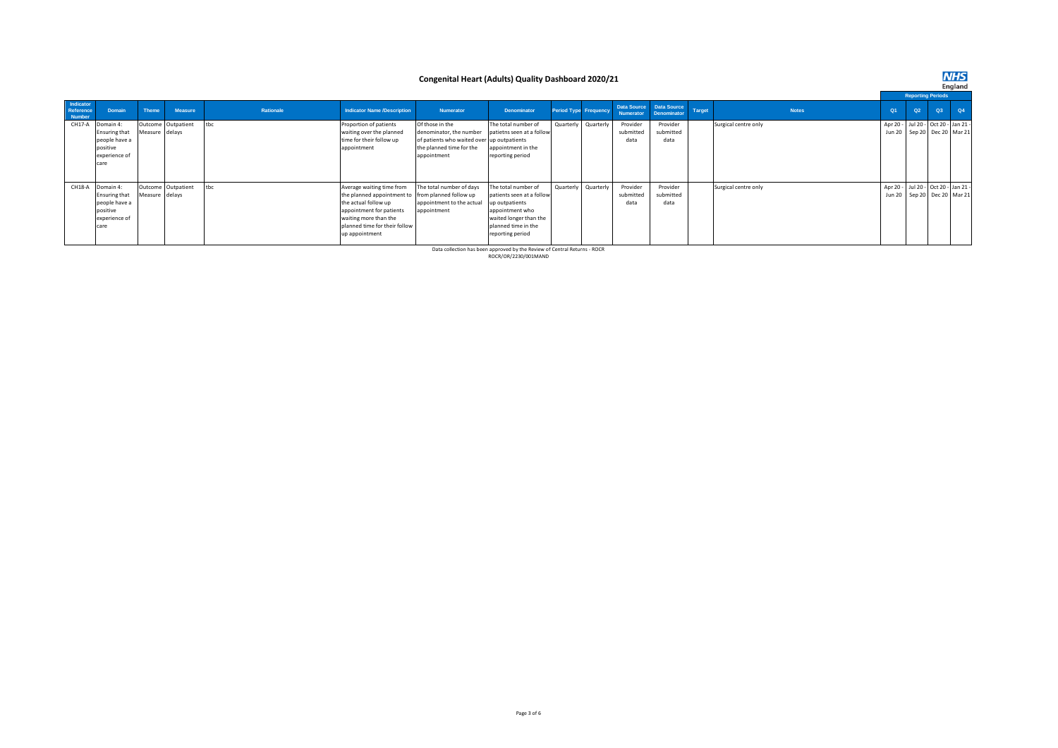#### **Congenital Heart (Adults) Quality Dashboard 2020/21**

**NHS**<br>England

|                                  |                      |                |                    |           |                                                   |                                            |                           |           |                       |           |                                        |        |                      | <b>Reporting Periods</b>            |    |    |    |  |  |
|----------------------------------|----------------------|----------------|--------------------|-----------|---------------------------------------------------|--------------------------------------------|---------------------------|-----------|-----------------------|-----------|----------------------------------------|--------|----------------------|-------------------------------------|----|----|----|--|--|
| Indicator<br>Reference<br>Number | Domain               | <b>Theme</b>   | <b>Measure</b>     | Rationale | <b>Indicator Name /Description</b>                | <b>Numerator</b>                           | <b>Denominator</b>        |           | Period Type Frequency | Numerator | Data Source Data Source<br>Denominator | Target | <b>Notes</b>         | Q1                                  | Q2 | Q3 | Q4 |  |  |
| CH17-A                           | Domain 4:            |                | Outcome Outpatient | tbc       | Proportion of patients                            | Of those in the                            | The total number of       |           | Quarterly Quarterly   | Provider  | Provider                               |        | Surgical centre only | Apr 20 - Jul 20 - Oct 20 - Jan 21 - |    |    |    |  |  |
|                                  | <b>Ensuring that</b> | Measure delays |                    |           | waiting over the planned                          | denominator, the number                    | patietns seen at a follow |           |                       | submitted | submitted                              |        |                      | Jun 20 Sep 20 Dec 20 Mar 21         |    |    |    |  |  |
|                                  | people have a        |                |                    |           | time for their follow up                          | of patients who waited over up outpatients |                           |           |                       | data      | data                                   |        |                      |                                     |    |    |    |  |  |
|                                  | positive             |                |                    |           | appointment                                       | the planned time for the                   | appointment in the        |           |                       |           |                                        |        |                      |                                     |    |    |    |  |  |
|                                  | experience of        |                |                    |           |                                                   | appointment                                | reporting period          |           |                       |           |                                        |        |                      |                                     |    |    |    |  |  |
|                                  | care                 |                |                    |           |                                                   |                                            |                           |           |                       |           |                                        |        |                      |                                     |    |    |    |  |  |
|                                  |                      |                |                    |           |                                                   |                                            |                           |           |                       |           |                                        |        |                      |                                     |    |    |    |  |  |
|                                  | CH18-A Domain 4:     |                | Outcome Outpatient | tbc       | Average waiting time from                         | The total number of days                   | The total number of       | Quarterly | Quarterly             | Provider  | Provider                               |        | Surgical centre only | Apr 20 - Jul 20 - Oct 20 - Jan 21 - |    |    |    |  |  |
|                                  | <b>Ensuring that</b> | Measure delays |                    |           | the planned appointment to from planned follow up |                                            | patients seen at a follow |           |                       | submitted | submitted                              |        |                      | Jun 20 Sep 20 Dec 20 Mar 21         |    |    |    |  |  |
|                                  | people have a        |                |                    |           | the actual follow up                              | appointment to the actual                  | up outpatients            |           |                       | data      | data                                   |        |                      |                                     |    |    |    |  |  |
|                                  | positive             |                |                    |           | appointment for patients                          | appointment                                | appointment who           |           |                       |           |                                        |        |                      |                                     |    |    |    |  |  |
|                                  | experience of        |                |                    |           | waiting more than the                             |                                            | waited longer than the    |           |                       |           |                                        |        |                      |                                     |    |    |    |  |  |
|                                  | care                 |                |                    |           | planned time for their follow                     |                                            | planned time in the       |           |                       |           |                                        |        |                      |                                     |    |    |    |  |  |
|                                  |                      |                |                    |           | up appointment                                    |                                            | reporting period          |           |                       |           |                                        |        |                      |                                     |    |    |    |  |  |
|                                  |                      |                |                    |           |                                                   |                                            |                           |           |                       |           |                                        |        |                      |                                     |    |    |    |  |  |

Data collection has been approved by the Review of Central Returns - ROCR ROCR/OR/2230/001MAND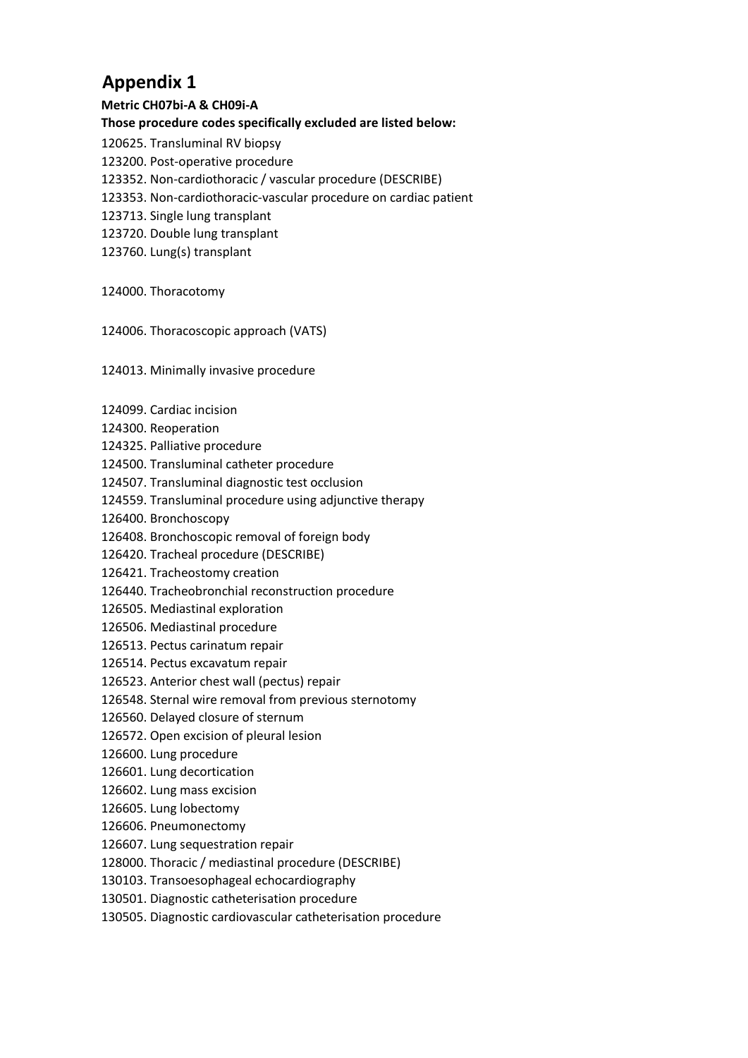## **Appendix 1**

**Metric CH07bi-A & CH09i-A** 

## **Those procedure codes specifically excluded are listed below:**

- 120625. Transluminal RV biopsy
- 123200. Post-operative procedure
- 123352. Non-cardiothoracic / vascular procedure (DESCRIBE)
- 123353. Non-cardiothoracic-vascular procedure on cardiac patient
- 123713. Single lung transplant
- 123720. Double lung transplant
- 123760. Lung(s) transplant
- 124000. Thoracotomy
- 124006. Thoracoscopic approach (VATS)

### 124013. Minimally invasive procedure

- 124099. Cardiac incision
- 124300. Reoperation
- 124325. Palliative procedure
- 124500. Transluminal catheter procedure
- 124507. Transluminal diagnostic test occlusion
- 124559. Transluminal procedure using adjunctive therapy
- 126400. Bronchoscopy
- 126408. Bronchoscopic removal of foreign body
- 126420. Tracheal procedure (DESCRIBE)
- 126421. Tracheostomy creation
- 126440. Tracheobronchial reconstruction procedure
- 126505. Mediastinal exploration
- 126506. Mediastinal procedure
- 126513. Pectus carinatum repair
- 126514. Pectus excavatum repair
- 126523. Anterior chest wall (pectus) repair
- 126548. Sternal wire removal from previous sternotomy
- 126560. Delayed closure of sternum
- 126572. Open excision of pleural lesion
- 126600. Lung procedure
- 126601. Lung decortication
- 126602. Lung mass excision
- 126605. Lung lobectomy
- 126606. Pneumonectomy
- 126607. Lung sequestration repair
- 128000. Thoracic / mediastinal procedure (DESCRIBE)
- 130103. Transoesophageal echocardiography
- 130501. Diagnostic catheterisation procedure
- 130505. Diagnostic cardiovascular catheterisation procedure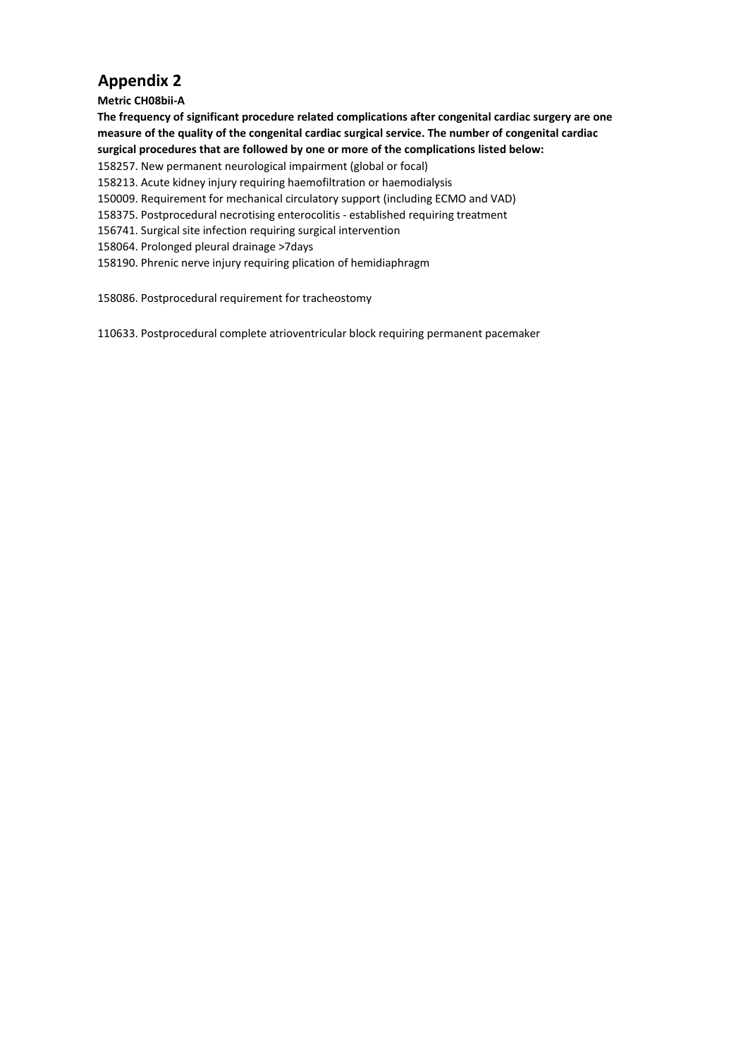## **Appendix 2**

### **Metric CH08bii-A**

**The frequency of significant procedure related complications after congenital cardiac surgery are one measure of the quality of the congenital cardiac surgical service. The number of congenital cardiac surgical procedures that are followed by one or more of the complications listed below:**

- 158257. New permanent neurological impairment (global or focal)
- 158213. Acute kidney injury requiring haemofiltration or haemodialysis
- 150009. Requirement for mechanical circulatory support (including ECMO and VAD)
- 158375. Postprocedural necrotising enterocolitis established requiring treatment
- 156741. Surgical site infection requiring surgical intervention
- 158064. Prolonged pleural drainage >7days
- 158190. Phrenic nerve injury requiring plication of hemidiaphragm

158086. Postprocedural requirement for tracheostomy

110633. Postprocedural complete atrioventricular block requiring permanent pacemaker